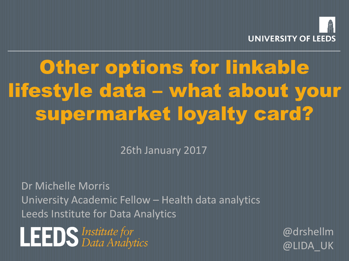

# Other options for linkable lifestyle data – what about your supermarket loyalty card?

26th January 2017

Dr Michelle Morris University Academic Fellow – Health data analytics Leeds Institute for Data Analytics

**LEEDS** Institute for

@drshellm @LIDA\_UK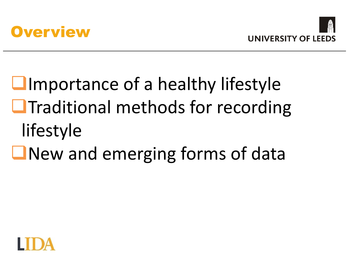



# $L$ Importance of a healthy lifestyle  $\Box$ Traditional methods for recording lifestyle  $\Box$  New and emerging forms of data

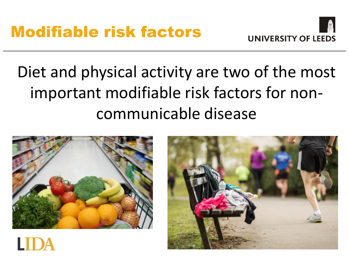

## Diet and physical activity are two of the most important modifiable risk factors for noncommunicable disease



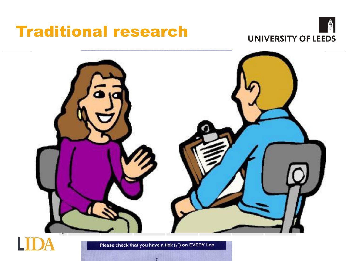## Traditional research





Please check that you have a tick (√) on EVERY line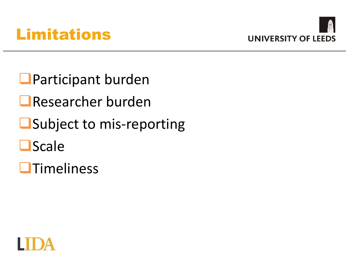



**O**Participant burden ■Researcher burden **■Subject to mis-reporting**  $\square$ Scale



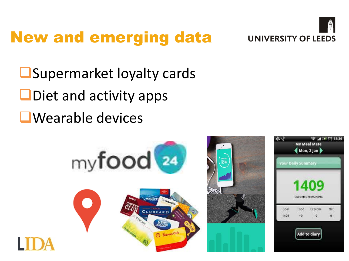## New and emerging data



**O**Supermarket loyalty cards

- $\Box$  Diet and activity apps
- **E**Wearable devices

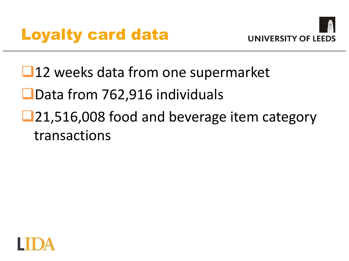



- **□12** weeks data from one supermarket
- ■Data from 762,916 individuals
- ■21,516,008 food and beverage item category transactions

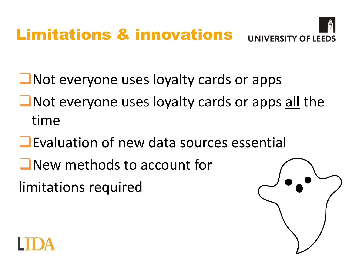

**Not everyone uses loyalty cards or apps** 

- $\Box$  Not everyone uses loyalty cards or apps all the time
- **Evaluation of new data sources essential**
- **New methods to account for**

limitations required

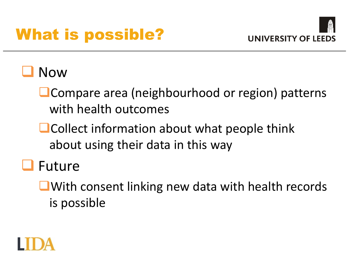## What is possible?



### Now

- **O** Compare area (neighbourhood or region) patterns with health outcomes
- **O** Collect information about what people think about using their data in this way

### **LI** Future

**L**With consent linking new data with health records is possible

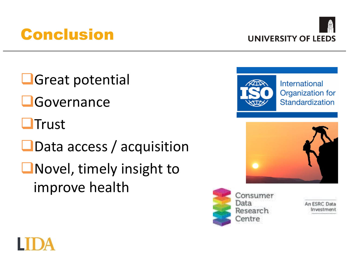

Conclusion

**L**Great potential **L**Governance **OTrust OData access / acquisition Novel, timely insight to** improve health









Consumer Data Research Centre

An ESRC Da